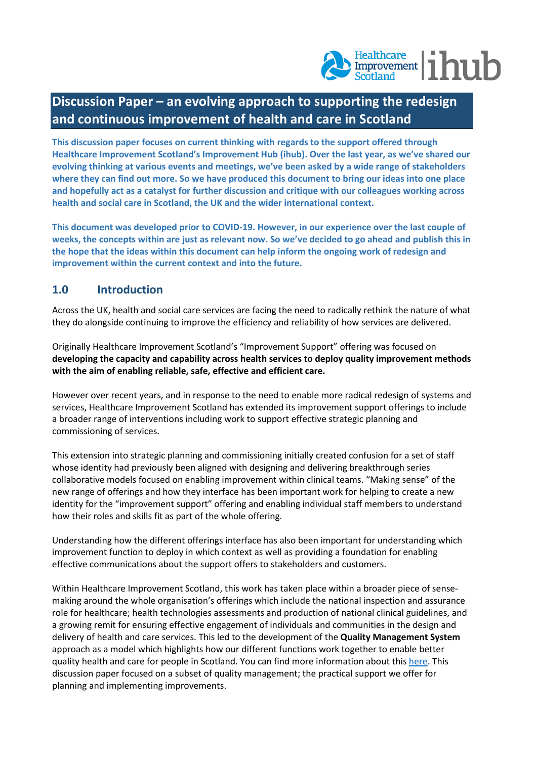# $\frac{\text{Healthcare}}{\text{Scotland}}$  | hub

## **Discussion Paper – an evolving approach to supporting the redesign and continuous improvement of health and care in Scotland**

**This discussion paper focuses on current thinking with regards to the support offered through Healthcare Improvement Scotland's Improvement Hub (ihub). Over the last year, as we've shared our evolving thinking at various events and meetings, we've been asked by a wide range of stakeholders where they can find out more. So we have produced this document to bring our ideas into one place and hopefully act as a catalyst for further discussion and critique with our colleagues working across health and social care in Scotland, the UK and the wider international context.**

**This document was developed prior to COVID-19. However, in our experience over the last couple of weeks, the concepts within are just as relevant now. So we've decided to go ahead and publish this in the hope that the ideas within this document can help inform the ongoing work of redesign and improvement within the current context and into the future.**

#### **1.0 Introduction**

Across the UK, health and social care services are facing the need to radically rethink the nature of what they do alongside continuing to improve the efficiency and reliability of how services are delivered.

Originally Healthcare Improvement Scotland's "Improvement Support" offering was focused on **developing the capacity and capability across health services to deploy quality improvement methods with the aim of enabling reliable, safe, effective and efficient care.**

However over recent years, and in response to the need to enable more radical redesign of systems and services, Healthcare Improvement Scotland has extended its improvement support offerings to include a broader range of interventions including work to support effective strategic planning and commissioning of services.

This extension into strategic planning and commissioning initially created confusion for a set of staff whose identity had previously been aligned with designing and delivering breakthrough series collaborative models focused on enabling improvement within clinical teams. "Making sense" of the new range of offerings and how they interface has been important work for helping to create a new identity for the "improvement support" offering and enabling individual staff members to understand how their roles and skills fit as part of the whole offering.

Understanding how the different offerings interface has also been important for understanding which improvement function to deploy in which context as well as providing a foundation for enabling effective communications about the support offers to stakeholders and customers.

Within Healthcare Improvement Scotland, this work has taken place within a broader piece of sensemaking around the whole organisation's offerings which include the national inspection and assurance role for healthcare; health technologies assessments and production of national clinical guidelines, and a growing remit for ensuring effective engagement of individuals and communities in the design and delivery of health and care services. This led to the development of the **Quality Management System** approach as a model which highlights how our different functions work together to enable better quality health and care for people in Scotland. You can find more information about thi[s here.](http://www.healthcareimprovementscotland.org/previous_resources/policy_and_strategy/quality_management_system.aspx) This discussion paper focused on a subset of quality management; the practical support we offer for planning and implementing improvements.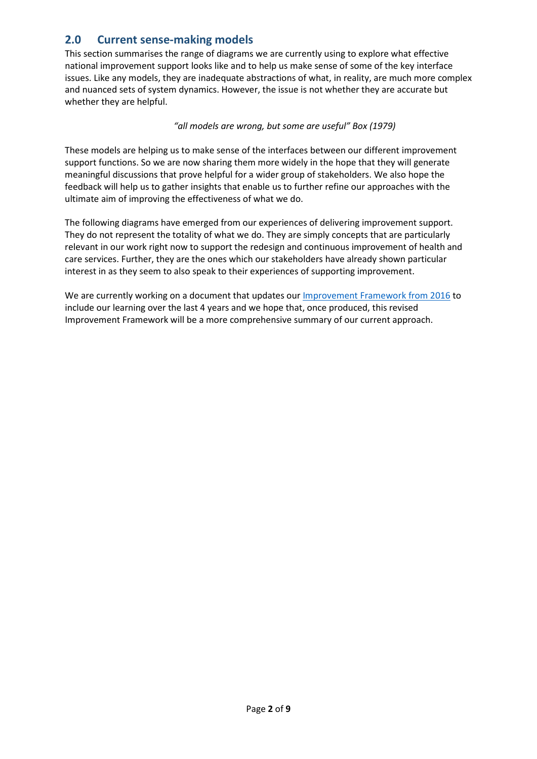#### **2.0 Current sense-making models**

This section summarises the range of diagrams we are currently using to explore what effective national improvement support looks like and to help us make sense of some of the key interface issues. Like any models, they are inadequate abstractions of what, in reality, are much more complex and nuanced sets of system dynamics. However, the issue is not whether they are accurate but whether they are helpful.

*"all models are wrong, but some are useful" Box (1979)*

These models are helping us to make sense of the interfaces between our different improvement support functions. So we are now sharing them more widely in the hope that they will generate meaningful discussions that prove helpful for a wider group of stakeholders. We also hope the feedback will help us to gather insights that enable us to further refine our approaches with the ultimate aim of improving the effectiveness of what we do.

The following diagrams have emerged from our experiences of delivering improvement support. They do not represent the totality of what we do. They are simply concepts that are particularly relevant in our work right now to support the redesign and continuous improvement of health and care services. Further, they are the ones which our stakeholders have already shown particular interest in as they seem to also speak to their experiences of supporting improvement.

We are currently working on a document that updates ou[r Improvement Framework from 2016](https://ihub.scot/media/1870/improvement-hub-our-approach-to-supporting-improvement-v6-27092016.pdf) to include our learning over the last 4 years and we hope that, once produced, this revised Improvement Framework will be a more comprehensive summary of our current approach.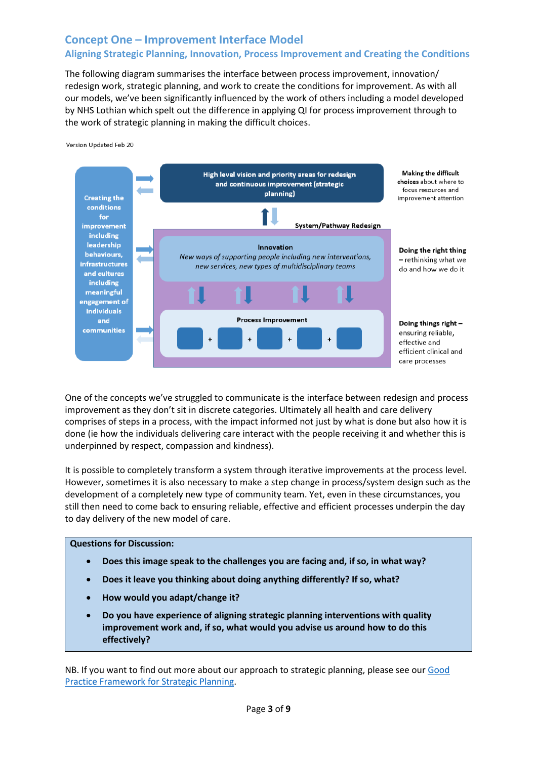#### **Concept One – Improvement Interface Model Aligning Strategic Planning, Innovation, Process Improvement and Creating the Conditions**

The following diagram summarises the interface between process improvement, innovation/ redesign work, strategic planning, and work to create the conditions for improvement. As with all our models, we've been significantly influenced by the work of others including a model developed by NHS Lothian which spelt out the difference in applying QI for process improvement through to the work of strategic planning in making the difficult choices.

Version Updated Feb 20



One of the concepts we've struggled to communicate is the interface between redesign and process improvement as they don't sit in discrete categories. Ultimately all health and care delivery comprises of steps in a process, with the impact informed not just by what is done but also how it is done (ie how the individuals delivering care interact with the people receiving it and whether this is underpinned by respect, compassion and kindness).

It is possible to completely transform a system through iterative improvements at the process level. However, sometimes it is also necessary to make a step change in process/system design such as the development of a completely new type of community team. Yet, even in these circumstances, you still then need to come back to ensuring reliable, effective and efficient processes underpin the day to day delivery of the new model of care.

**Questions for Discussion:**

- **Does this image speak to the challenges you are facing and, if so, in what way?**
- **Does it leave you thinking about doing anything differently? If so, what?**
- **How would you adapt/change it?**
- **Do you have experience of aligning strategic planning interventions with quality improvement work and, if so, what would you advise us around how to do this effectively?**

NB. If you want to find out more about our approach to strategic planning, please see our [Good](https://ihub.scot/media/6879/good-practice-framework-for-strategic-planning.pdf)  [Practice Framework for Strategic Planning.](https://ihub.scot/media/6879/good-practice-framework-for-strategic-planning.pdf)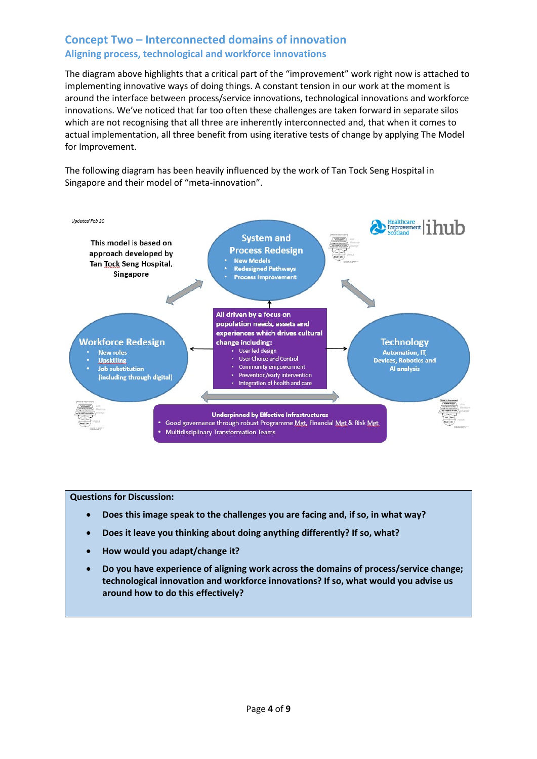#### **Concept Two – Interconnected domains of innovation Aligning process, technological and workforce innovations**

The diagram above highlights that a critical part of the "improvement" work right now is attached to implementing innovative ways of doing things. A constant tension in our work at the moment is around the interface between process/service innovations, technological innovations and workforce innovations. We've noticed that far too often these challenges are taken forward in separate silos which are not recognising that all three are inherently interconnected and, that when it comes to actual implementation, all three benefit from using iterative tests of change by applying The Model for Improvement.

The following diagram has been heavily influenced by the work of Tan Tock Seng Hospital in Singapore and their model of "meta-innovation".



**Questions for Discussion:**

- **Does this image speak to the challenges you are facing and, if so, in what way?**
- **Does it leave you thinking about doing anything differently? If so, what?**
- **How would you adapt/change it?**
- **Do you have experience of aligning work across the domains of process/service change; technological innovation and workforce innovations? If so, what would you advise us around how to do this effectively?**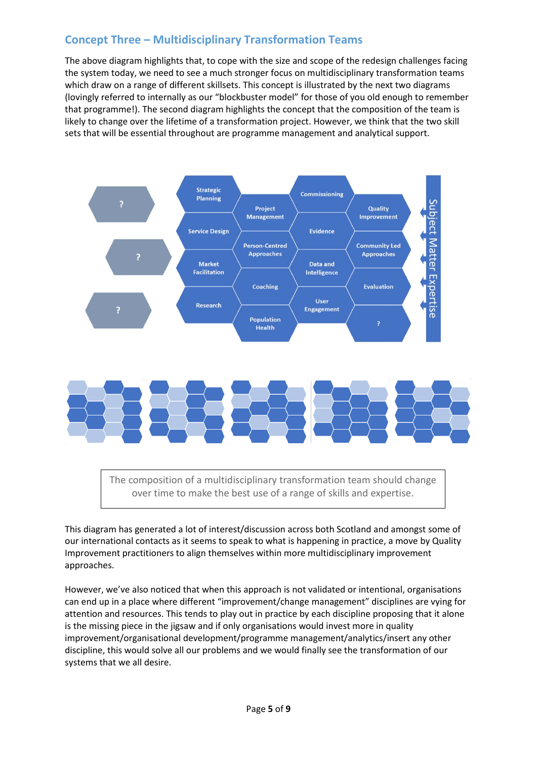### **Concept Three – Multidisciplinary Transformation Teams**

The above diagram highlights that, to cope with the size and scope of the redesign challenges facing the system today, we need to see a much stronger focus on multidisciplinary transformation teams which draw on a range of different skillsets. This concept is illustrated by the next two diagrams (lovingly referred to internally as our "blockbuster model" for those of you old enough to remember that programme!). The second diagram highlights the concept that the composition of the team is likely to change over the lifetime of a transformation project. However, we think that the two skill sets that will be essential throughout are programme management and analytical support.





The composition of a multidisciplinary transformation team should change over time to make the best use of a range of skills and expertise.

This diagram has generated a lot of interest/discussion across both Scotland and amongst some of our international contacts as it seems to speak to what is happening in practice, a move by Quality Improvement practitioners to align themselves within more multidisciplinary improvement approaches.

However, we've also noticed that when this approach is not validated or intentional, organisations can end up in a place where different "improvement/change management" disciplines are vying for attention and resources. This tends to play out in practice by each discipline proposing that it alone is the missing piece in the jigsaw and if only organisations would invest more in quality improvement/organisational development/programme management/analytics/insert any other discipline, this would solve all our problems and we would finally see the transformation of our systems that we all desire.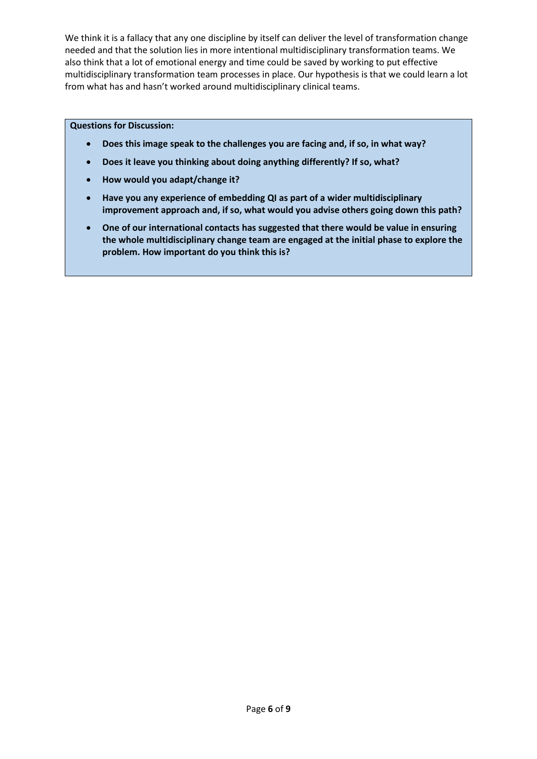We think it is a fallacy that any one discipline by itself can deliver the level of transformation change needed and that the solution lies in more intentional multidisciplinary transformation teams. We also think that a lot of emotional energy and time could be saved by working to put effective multidisciplinary transformation team processes in place. Our hypothesis is that we could learn a lot from what has and hasn't worked around multidisciplinary clinical teams.

#### **Questions for Discussion:**

- **Does this image speak to the challenges you are facing and, if so, in what way?**
- **Does it leave you thinking about doing anything differently? If so, what?**
- **How would you adapt/change it?**
- **Have you any experience of embedding QI as part of a wider multidisciplinary improvement approach and, if so, what would you advise others going down this path?**
- **One of our international contacts has suggested that there would be value in ensuring the whole multidisciplinary change team are engaged at the initial phase to explore the problem. How important do you think this is?**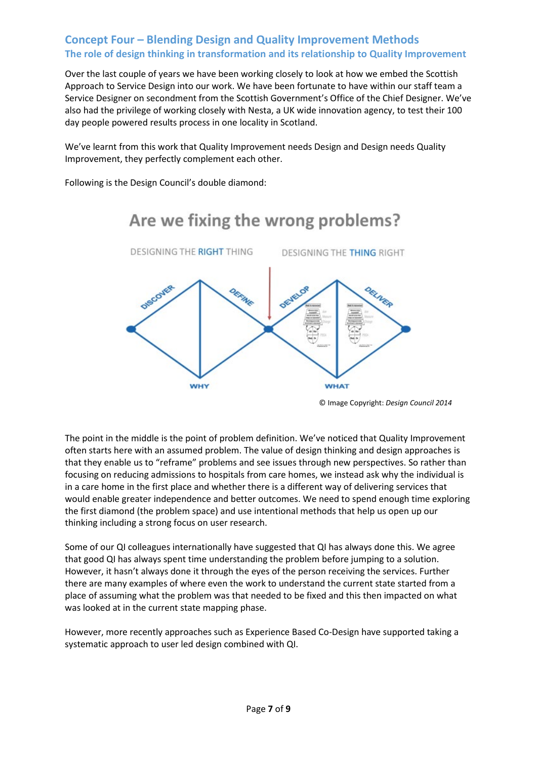#### **Concept Four – Blending Design and Quality Improvement Methods The role of design thinking in transformation and its relationship to Quality Improvement**

Over the last couple of years we have been working closely to look at how we embed the Scottish Approach to Service Design into our work. We have been fortunate to have within our staff team a Service Designer on secondment from the Scottish Government's Office of the Chief Designer. We've also had the privilege of working closely with Nesta, a UK wide innovation agency, to test their 100 day people powered results process in one locality in Scotland.

We've learnt from this work that Quality Improvement needs Design and Design needs Quality Improvement, they perfectly complement each other.

Are we fixing the wrong problems?

Following is the Design Council's double diamond:



© Image Copyright: *Design Council 2014*

The point in the middle is the point of problem definition. We've noticed that Quality Improvement often starts here with an assumed problem. The value of design thinking and design approaches is that they enable us to "reframe" problems and see issues through new perspectives. So rather than focusing on reducing admissions to hospitals from care homes, we instead ask why the individual is in a care home in the first place and whether there is a different way of delivering services that would enable greater independence and better outcomes. We need to spend enough time exploring the first diamond (the problem space) and use intentional methods that help us open up our thinking including a strong focus on user research.

Some of our QI colleagues internationally have suggested that QI has always done this. We agree that good QI has always spent time understanding the problem before jumping to a solution. However, it hasn't always done it through the eyes of the person receiving the services. Further there are many examples of where even the work to understand the current state started from a place of assuming what the problem was that needed to be fixed and this then impacted on what was looked at in the current state mapping phase.

However, more recently approaches such as Experience Based Co-Design have supported taking a systematic approach to user led design combined with QI.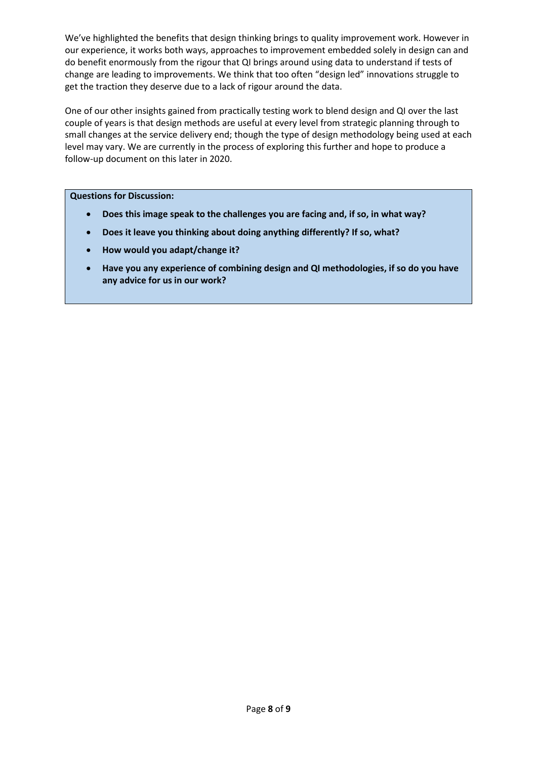We've highlighted the benefits that design thinking brings to quality improvement work. However in our experience, it works both ways, approaches to improvement embedded solely in design can and do benefit enormously from the rigour that QI brings around using data to understand if tests of change are leading to improvements. We think that too often "design led" innovations struggle to get the traction they deserve due to a lack of rigour around the data.

One of our other insights gained from practically testing work to blend design and QI over the last couple of years is that design methods are useful at every level from strategic planning through to small changes at the service delivery end; though the type of design methodology being used at each level may vary. We are currently in the process of exploring this further and hope to produce a follow-up document on this later in 2020.

**Questions for Discussion:**

- **Does this image speak to the challenges you are facing and, if so, in what way?**
- **Does it leave you thinking about doing anything differently? If so, what?**
- **How would you adapt/change it?**
- **Have you any experience of combining design and QI methodologies, if so do you have any advice for us in our work?**